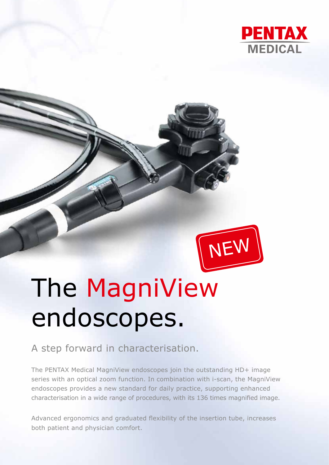



# The MagniView endoscopes.

### A step forward in characterisation.

The PENTAX Medical MagniView endoscopes join the outstanding HD+ image series with an optical zoom function. In combination with i-scan, the MagniView endoscopes provides a new standard for daily practice, supporting enhanced characterisation in a wide range of procedures, with its 136 times magnified image.

Advanced ergonomics and graduated flexibility of the insertion tube, increases both patient and physician comfort.